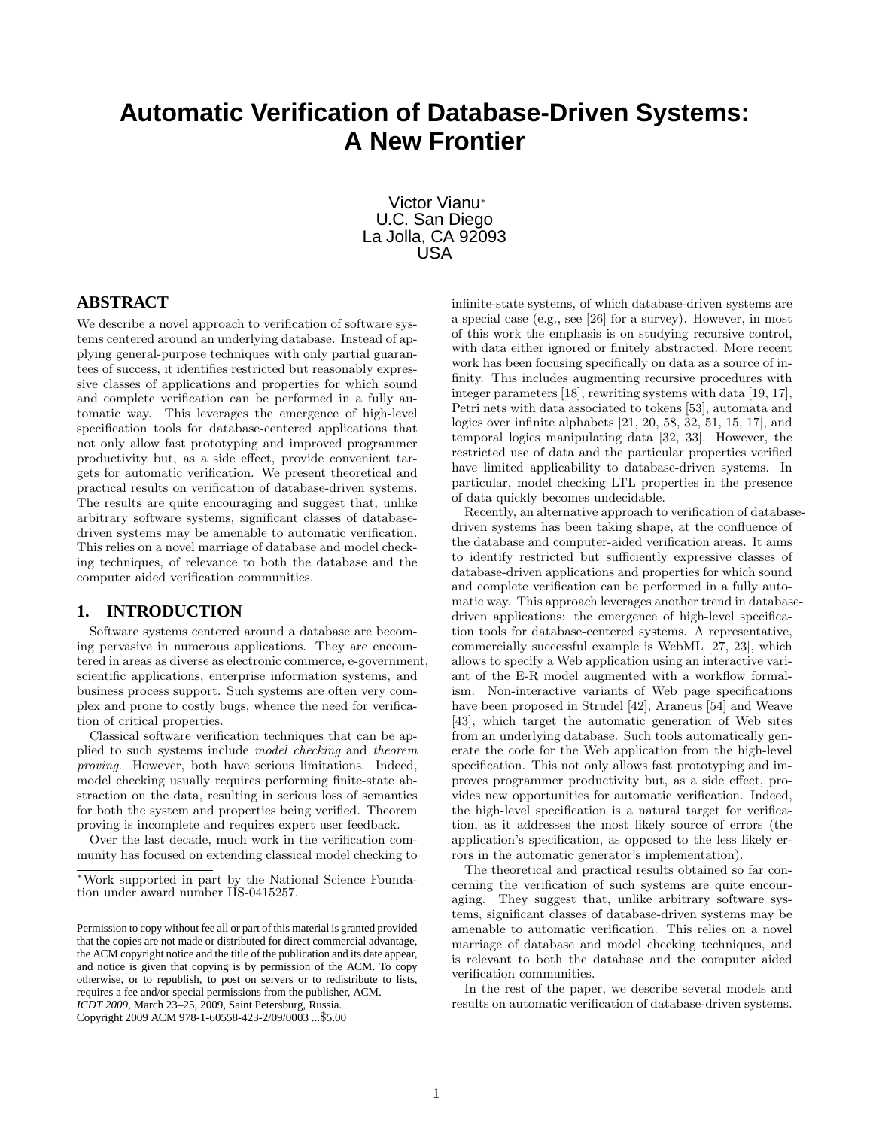# **Automatic Verification of Database-Driven Systems: A New Frontier**

Victor Vianu<sup>∗</sup> U.C. San Diego La Jolla, CA 92093 USA

# **ABSTRACT**

We describe a novel approach to verification of software systems centered around an underlying database. Instead of applying general-purpose techniques with only partial guarantees of success, it identifies restricted but reasonably expressive classes of applications and properties for which sound and complete verification can be performed in a fully automatic way. This leverages the emergence of high-level specification tools for database-centered applications that not only allow fast prototyping and improved programmer productivity but, as a side effect, provide convenient targets for automatic verification. We present theoretical and practical results on verification of database-driven systems. The results are quite encouraging and suggest that, unlike arbitrary software systems, significant classes of databasedriven systems may be amenable to automatic verification. This relies on a novel marriage of database and model checking techniques, of relevance to both the database and the computer aided verification communities.

# **1. INTRODUCTION**

Software systems centered around a database are becoming pervasive in numerous applications. They are encountered in areas as diverse as electronic commerce, e-government, scientific applications, enterprise information systems, and business process support. Such systems are often very complex and prone to costly bugs, whence the need for verification of critical properties.

Classical software verification techniques that can be applied to such systems include *model checking* and *theorem proving*. However, both have serious limitations. Indeed, model checking usually requires performing finite-state abstraction on the data, resulting in serious loss of semantics for both the system and properties being verified. Theorem proving is incomplete and requires expert user feedback.

Over the last decade, much work in the verification community has focused on extending classical model checking to infinite-state systems, of which database-driven systems are a special case (e.g., see [26] for a survey). However, in most of this work the emphasis is on studying recursive control, with data either ignored or finitely abstracted. More recent work has been focusing specifically on data as a source of infinity. This includes augmenting recursive procedures with integer parameters [18], rewriting systems with data [19, 17], Petri nets with data associated to tokens [53], automata and logics over infinite alphabets [21, 20, 58, 32, 51, 15, 17], and temporal logics manipulating data [32, 33]. However, the restricted use of data and the particular properties verified have limited applicability to database-driven systems. In particular, model checking LTL properties in the presence of data quickly becomes undecidable.

Recently, an alternative approach to verification of databasedriven systems has been taking shape, at the confluence of the database and computer-aided verification areas. It aims to identify restricted but sufficiently expressive classes of database-driven applications and properties for which sound and complete verification can be performed in a fully automatic way. This approach leverages another trend in databasedriven applications: the emergence of high-level specification tools for database-centered systems. A representative, commercially successful example is WebML [27, 23], which allows to specify a Web application using an interactive variant of the E-R model augmented with a workflow formalism. Non-interactive variants of Web page specifications have been proposed in Strudel [42], Araneus [54] and Weave [43], which target the automatic generation of Web sites from an underlying database. Such tools automatically generate the code for the Web application from the high-level specification. This not only allows fast prototyping and improves programmer productivity but, as a side effect, provides new opportunities for automatic verification. Indeed, the high-level specification is a natural target for verification, as it addresses the most likely source of errors (the application's specification, as opposed to the less likely errors in the automatic generator's implementation).

The theoretical and practical results obtained so far concerning the verification of such systems are quite encouraging. They suggest that, unlike arbitrary software systems, significant classes of database-driven systems may be amenable to automatic verification. This relies on a novel marriage of database and model checking techniques, and is relevant to both the database and the computer aided verification communities.

In the rest of the paper, we describe several models and results on automatic verification of database-driven systems.

<sup>∗</sup>Work supported in part by the National Science Foundation under award number IIS-0415257.

Permission to copy without fee all or part of this material is granted provided that the copies are not made or distributed for direct commercial advantage, the ACM copyright notice and the title of the publication and its date appear, and notice is given that copying is by permission of the ACM. To copy otherwise, or to republish, to post on servers or to redistribute to lists, requires a fee and/or special permissions from the publisher, ACM. *ICDT 2009*, March 23–25, 2009, Saint Petersburg, Russia.

Copyright 2009 ACM 978-1-60558-423-2/09/0003 ...\$5.00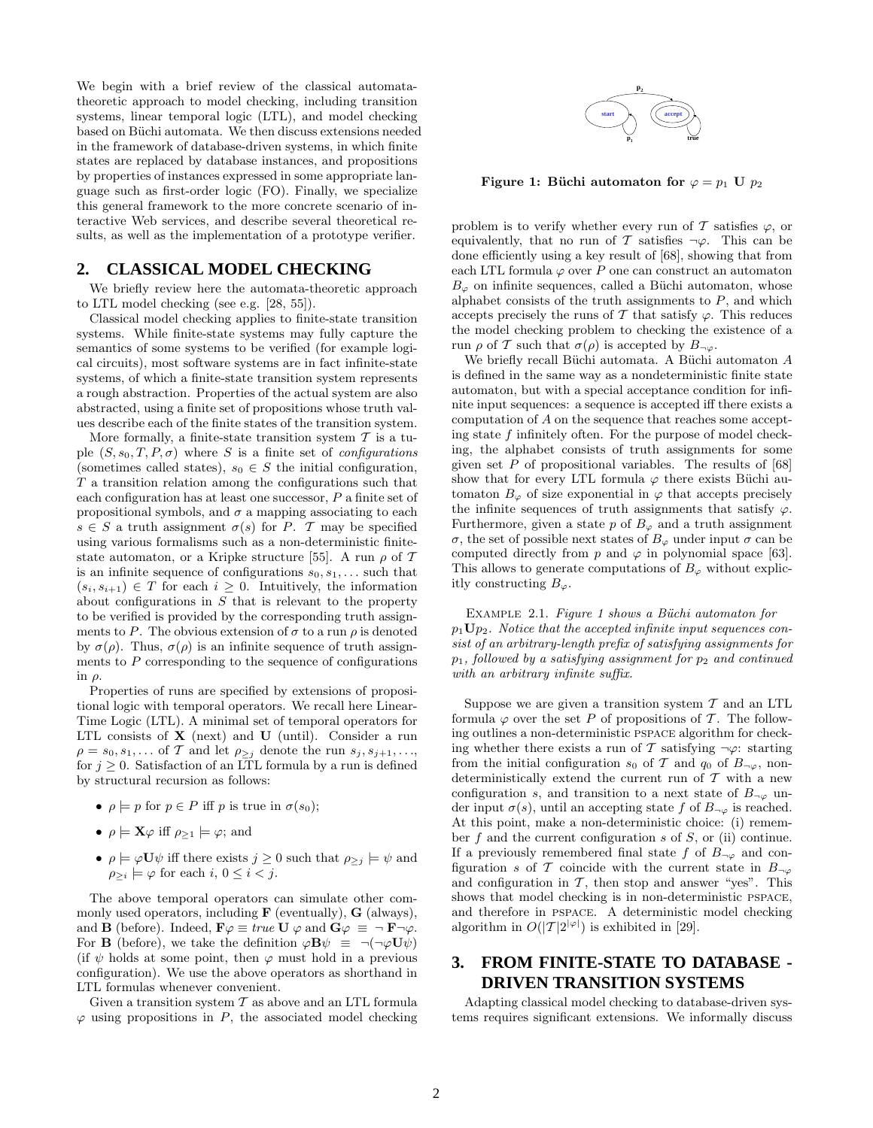We begin with a brief review of the classical automatatheoretic approach to model checking, including transition systems, linear temporal logic (LTL), and model checking based on Büchi automata. We then discuss extensions needed in the framework of database-driven systems, in which finite states are replaced by database instances, and propositions by properties of instances expressed in some appropriate language such as first-order logic (FO). Finally, we specialize this general framework to the more concrete scenario of interactive Web services, and describe several theoretical results, as well as the implementation of a prototype verifier.

## **2. CLASSICAL MODEL CHECKING**

We briefly review here the automata-theoretic approach to LTL model checking (see e.g. [28, 55]).

Classical model checking applies to finite-state transition systems. While finite-state systems may fully capture the semantics of some systems to be verified (for example logical circuits), most software systems are in fact infinite-state systems, of which a finite-state transition system represents a rough abstraction. Properties of the actual system are also abstracted, using a finite set of propositions whose truth values describe each of the finite states of the transition system.

More formally, a finite-state transition system  $T$  is a tuple  $(S, s_0, T, P, \sigma)$  where S is a finite set of *configurations* (sometimes called states),  $s_0 \in S$  the initial configuration, T a transition relation among the configurations such that each configuration has at least one successor, P a finite set of propositional symbols, and  $\sigma$  a mapping associating to each  $s \in S$  a truth assignment  $\sigma(s)$  for P. T may be specified using various formalisms such as a non-deterministic finitestate automaton, or a Kripke structure [55]. A run  $\rho$  of T is an infinite sequence of configurations  $s_0, s_1, \ldots$  such that  $(s_i, s_{i+1}) \in T$  for each  $i \geq 0$ . Intuitively, the information about configurations in  $S$  that is relevant to the property to be verified is provided by the corresponding truth assignments to P. The obvious extension of  $\sigma$  to a run  $\rho$  is denoted by  $\sigma(\rho)$ . Thus,  $\sigma(\rho)$  is an infinite sequence of truth assignments to  $P$  corresponding to the sequence of configurations in ρ.

Properties of runs are specified by extensions of propositional logic with temporal operators. We recall here Linear-Time Logic (LTL). A minimal set of temporal operators for LTL consists of  $X$  (next) and  $U$  (until). Consider a run  $\rho = s_0, s_1, \ldots$  of T and let  $\rho_{\geq j}$  denote the run  $s_j, s_{j+1}, \ldots$ for  $j \geq 0$ . Satisfaction of an LTL formula by a run is defined by structural recursion as follows:

- $\rho \models p$  for  $p \in P$  iff p is true in  $\sigma(s_0)$ ;
- $\rho \models \mathbf{X} \varphi$  iff  $\rho_{\geq 1} \models \varphi$ ; and
- $\rho \models \varphi \mathbf{U} \psi$  iff there exists  $j \geq 0$  such that  $\rho_{\geq j} \models \psi$  and  $\rho_{\geq i} \models \varphi$  for each  $i, 0 \leq i < j$ .

The above temporal operators can simulate other commonly used operators, including  $\bf{F}$  (eventually),  $\bf{G}$  (always), and **B** (before). Indeed,  $\mathbf{F}\varphi \equiv true \mathbf{U} \varphi$  and  $\mathbf{G}\varphi \equiv \neg \mathbf{F} \neg \varphi$ . For **B** (before), we take the definition  $\varphi \mathbf{B} \psi \equiv \neg(\neg \varphi \mathbf{U} \psi)$ (if  $\psi$  holds at some point, then  $\varphi$  must hold in a previous configuration). We use the above operators as shorthand in LTL formulas whenever convenient.

Given a transition system  $T$  as above and an LTL formula  $\varphi$  using propositions in P, the associated model checking



Figure 1: Büchi automaton for  $\varphi = p_1$  U  $p_2$ 

problem is to verify whether every run of T satisfies  $\varphi$ , or equivalently, that no run of T satisfies  $\neg \varphi$ . This can be done efficiently using a key result of [68], showing that from each LTL formula  $\varphi$  over P one can construct an automaton  $B_{\varphi}$  on infinite sequences, called a Büchi automaton, whose alphabet consists of the truth assignments to  $P$ , and which accepts precisely the runs of  $\mathcal T$  that satisfy  $\varphi$ . This reduces the model checking problem to checking the existence of a run  $\rho$  of T such that  $\sigma(\rho)$  is accepted by  $B_{\neg \varphi}$ .

We briefly recall Büchi automata. A Büchi automaton  $A$ is defined in the same way as a nondeterministic finite state automaton, but with a special acceptance condition for infinite input sequences: a sequence is accepted iff there exists a computation of A on the sequence that reaches some accepting state f infinitely often. For the purpose of model checking, the alphabet consists of truth assignments for some given set  $P$  of propositional variables. The results of [68] show that for every LTL formula  $\varphi$  there exists Büchi automaton  $B_{\varphi}$  of size exponential in  $\varphi$  that accepts precisely the infinite sequences of truth assignments that satisfy  $\varphi$ . Furthermore, given a state p of  $B_{\varphi}$  and a truth assignment σ, the set of possible next states of  $B<sub>ϕ</sub>$  under input σ can be computed directly from p and  $\varphi$  in polynomial space [63]. This allows to generate computations of  $B_{\varphi}$  without explicitly constructing  $B_{\varphi}$ .

EXAMPLE 2.1. *Figure 1 shows a Büchi automaton for* p1Up2*. Notice that the accepted infinite input sequences consist of an arbitrary-length prefix of satisfying assignments for* p1*, followed by a satisfying assignment for* p<sup>2</sup> *and continued with an arbitrary infinite suffix.*

Suppose we are given a transition system  $T$  and an LTL formula  $\varphi$  over the set P of propositions of T. The following outlines a non-deterministic pspace algorithm for checking whether there exists a run of T satisfying  $\neg \varphi$ : starting from the initial configuration  $s_0$  of T and  $q_0$  of  $B_{\neg\varphi}$ , nondeterministically extend the current run of  $\mathcal T$  with a new configuration s, and transition to a next state of  $B_{\neg \varphi}$  under input  $\sigma(s)$ , until an accepting state f of  $B_{\neg \varphi}$  is reached. At this point, make a non-deterministic choice: (i) remember  $f$  and the current configuration  $s$  of  $S$ , or (ii) continue. If a previously remembered final state f of  $B_{\neg \varphi}$  and configuration s of T coincide with the current state in  $B_{-\infty}$ and configuration in  $\mathcal{T}$ , then stop and answer "yes". This shows that model checking is in non-deterministic pspace, and therefore in pspace. A deterministic model checking algorithm in  $O(|\mathcal{T}|2^{|\varphi|})$  is exhibited in [29].

# **3. FROM FINITE-STATE TO DATABASE - DRIVEN TRANSITION SYSTEMS**

Adapting classical model checking to database-driven systems requires significant extensions. We informally discuss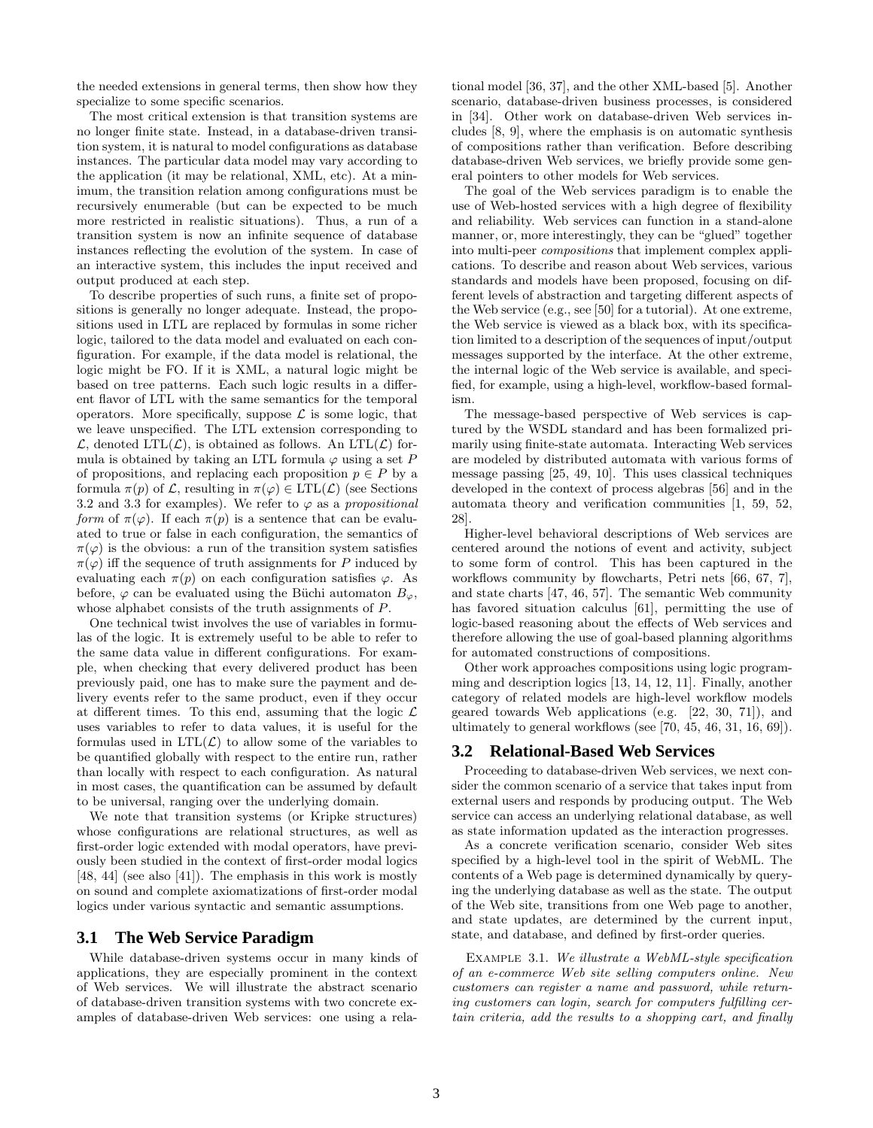the needed extensions in general terms, then show how they specialize to some specific scenarios.

The most critical extension is that transition systems are no longer finite state. Instead, in a database-driven transition system, it is natural to model configurations as database instances. The particular data model may vary according to the application (it may be relational, XML, etc). At a minimum, the transition relation among configurations must be recursively enumerable (but can be expected to be much more restricted in realistic situations). Thus, a run of a transition system is now an infinite sequence of database instances reflecting the evolution of the system. In case of an interactive system, this includes the input received and output produced at each step.

To describe properties of such runs, a finite set of propositions is generally no longer adequate. Instead, the propositions used in LTL are replaced by formulas in some richer logic, tailored to the data model and evaluated on each configuration. For example, if the data model is relational, the logic might be FO. If it is XML, a natural logic might be based on tree patterns. Each such logic results in a different flavor of LTL with the same semantics for the temporal operators. More specifically, suppose  $\mathcal L$  is some logic, that we leave unspecified. The LTL extension corresponding to  $\mathcal{L}$ , denoted LTL $(\mathcal{L})$ , is obtained as follows. An LTL $(\mathcal{L})$  formula is obtained by taking an LTL formula  $\varphi$  using a set P of propositions, and replacing each proposition  $p \in P$  by a formula  $\pi(p)$  of  $\mathcal{L}$ , resulting in  $\pi(\varphi) \in \mathrm{LTL}(\mathcal{L})$  (see Sections 3.2 and 3.3 for examples). We refer to  $\varphi$  as a *propositional form* of  $\pi(\varphi)$ . If each  $\pi(p)$  is a sentence that can be evaluated to true or false in each configuration, the semantics of  $\pi(\varphi)$  is the obvious: a run of the transition system satisfies  $\pi(\varphi)$  iff the sequence of truth assignments for P induced by evaluating each  $\pi(p)$  on each configuration satisfies  $\varphi$ . As before,  $\varphi$  can be evaluated using the Büchi automaton  $B_{\varphi}$ , whose alphabet consists of the truth assignments of P.

One technical twist involves the use of variables in formulas of the logic. It is extremely useful to be able to refer to the same data value in different configurations. For example, when checking that every delivered product has been previously paid, one has to make sure the payment and delivery events refer to the same product, even if they occur at different times. To this end, assuming that the logic  $\mathcal L$ uses variables to refer to data values, it is useful for the formulas used in  $LTL(\mathcal{L})$  to allow some of the variables to be quantified globally with respect to the entire run, rather than locally with respect to each configuration. As natural in most cases, the quantification can be assumed by default to be universal, ranging over the underlying domain.

We note that transition systems (or Kripke structures) whose configurations are relational structures, as well as first-order logic extended with modal operators, have previously been studied in the context of first-order modal logics [48, 44] (see also [41]). The emphasis in this work is mostly on sound and complete axiomatizations of first-order modal logics under various syntactic and semantic assumptions.

## **3.1 The Web Service Paradigm**

While database-driven systems occur in many kinds of applications, they are especially prominent in the context of Web services. We will illustrate the abstract scenario of database-driven transition systems with two concrete examples of database-driven Web services: one using a relational model [36, 37], and the other XML-based [5]. Another scenario, database-driven business processes, is considered in [34]. Other work on database-driven Web services includes [8, 9], where the emphasis is on automatic synthesis of compositions rather than verification. Before describing database-driven Web services, we briefly provide some general pointers to other models for Web services.

The goal of the Web services paradigm is to enable the use of Web-hosted services with a high degree of flexibility and reliability. Web services can function in a stand-alone manner, or, more interestingly, they can be "glued" together into multi-peer *compositions* that implement complex applications. To describe and reason about Web services, various standards and models have been proposed, focusing on different levels of abstraction and targeting different aspects of the Web service (e.g., see [50] for a tutorial). At one extreme, the Web service is viewed as a black box, with its specification limited to a description of the sequences of input/output messages supported by the interface. At the other extreme, the internal logic of the Web service is available, and specified, for example, using a high-level, workflow-based formalism.

The message-based perspective of Web services is captured by the WSDL standard and has been formalized primarily using finite-state automata. Interacting Web services are modeled by distributed automata with various forms of message passing [25, 49, 10]. This uses classical techniques developed in the context of process algebras [56] and in the automata theory and verification communities [1, 59, 52, 28].

Higher-level behavioral descriptions of Web services are centered around the notions of event and activity, subject to some form of control. This has been captured in the workflows community by flowcharts, Petri nets [66, 67, 7], and state charts [47, 46, 57]. The semantic Web community has favored situation calculus [61], permitting the use of logic-based reasoning about the effects of Web services and therefore allowing the use of goal-based planning algorithms for automated constructions of compositions.

Other work approaches compositions using logic programming and description logics [13, 14, 12, 11]. Finally, another category of related models are high-level workflow models geared towards Web applications (e.g. [22, 30, 71]), and ultimately to general workflows (see [70, 45, 46, 31, 16, 69]).

# **3.2 Relational-Based Web Services**

Proceeding to database-driven Web services, we next consider the common scenario of a service that takes input from external users and responds by producing output. The Web service can access an underlying relational database, as well as state information updated as the interaction progresses.

As a concrete verification scenario, consider Web sites specified by a high-level tool in the spirit of WebML. The contents of a Web page is determined dynamically by querying the underlying database as well as the state. The output of the Web site, transitions from one Web page to another, and state updates, are determined by the current input, state, and database, and defined by first-order queries.

Example 3.1. *We illustrate a WebML-style specification of an e-commerce Web site selling computers online. New customers can register a name and password, while returning customers can login, search for computers fulfilling certain criteria, add the results to a shopping cart, and finally*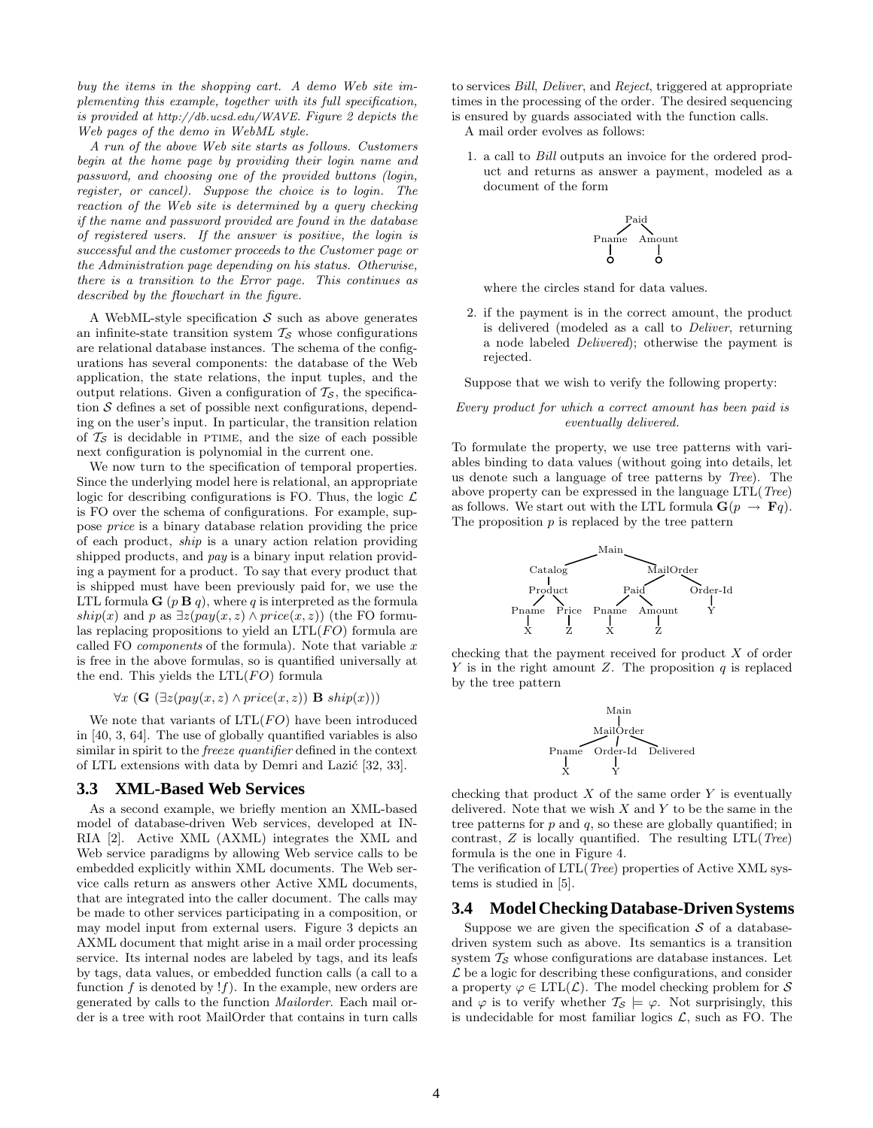*buy the items in the shopping cart. A demo Web site implementing this example, together with its full specification, is provided at http://db.ucsd.edu/WAVE. Figure 2 depicts the Web pages of the demo in WebML style.*

*A run of the above Web site starts as follows. Customers begin at the home page by providing their login name and password, and choosing one of the provided buttons (login, register, or cancel). Suppose the choice is to login. The reaction of the Web site is determined by a query checking if the name and password provided are found in the database of registered users. If the answer is positive, the login is successful and the customer proceeds to the Customer page or the Administration page depending on his status. Otherwise, there is a transition to the Error page. This continues as described by the flowchart in the figure.*

A WebML-style specification  $S$  such as above generates an infinite-state transition system  $\mathcal{T}_{\mathcal{S}}$  whose configurations are relational database instances. The schema of the configurations has several components: the database of the Web application, the state relations, the input tuples, and the output relations. Given a configuration of  $\mathcal{T}_{\mathcal{S}}$ , the specification  $S$  defines a set of possible next configurations, depending on the user's input. In particular, the transition relation of  $\mathcal{T}_{\mathcal{S}}$  is decidable in PTIME, and the size of each possible next configuration is polynomial in the current one.

We now turn to the specification of temporal properties. Since the underlying model here is relational, an appropriate logic for describing configurations is FO. Thus, the logic  $\mathcal L$ is FO over the schema of configurations. For example, suppose *price* is a binary database relation providing the price of each product, *ship* is a unary action relation providing shipped products, and *pay* is a binary input relation providing a payment for a product. To say that every product that is shipped must have been previously paid for, we use the LTL formula  $\mathbf{G}$  ( $p \mathbf{B} q$ ), where q is interpreted as the formula ship(x) and p as  $\exists z (pay(x, z) \land price(x, z))$  (the FO formulas replacing propositions to yield an  $LTL(FO)$  formula are called FO *components* of the formula). Note that variable x is free in the above formulas, so is quantified universally at the end. This yields the  $LTL(FO)$  formula

$$
\forall x \ (\mathbf{G} \ (\exists z (pay(x,z) \land price(x,z)) \ \mathbf{B} \ \textit{ship}(x)))
$$

We note that variants of  $LTL(FO)$  have been introduced in [40, 3, 64]. The use of globally quantified variables is also similar in spirit to the *freeze quantifier* defined in the context of LTL extensions with data by Demri and Lazić [32, 33].

### **3.3 XML-Based Web Services**

As a second example, we briefly mention an XML-based model of database-driven Web services, developed at IN-RIA [2]. Active XML (AXML) integrates the XML and Web service paradigms by allowing Web service calls to be embedded explicitly within XML documents. The Web service calls return as answers other Active XML documents, that are integrated into the caller document. The calls may be made to other services participating in a composition, or may model input from external users. Figure 3 depicts an AXML document that might arise in a mail order processing service. Its internal nodes are labeled by tags, and its leafs by tags, data values, or embedded function calls (a call to a function  $f$  is denoted by  $!f$ ). In the example, new orders are generated by calls to the function *Mailorder*. Each mail order is a tree with root MailOrder that contains in turn calls

to services *Bill*, *Deliver*, and *Reject*, triggered at appropriate times in the processing of the order. The desired sequencing is ensured by guards associated with the function calls.

A mail order evolves as follows:

1. a call to *Bill* outputs an invoice for the ordered product and returns as answer a payment, modeled as a document of the form

$$
\begin{matrix}\n & \text{Pad} \\
\text{Pname} & \text{Amount} \\
& \text{O} & \text{O}\n\end{matrix}
$$

where the circles stand for data values.

2. if the payment is in the correct amount, the product is delivered (modeled as a call to *Deliver*, returning a node labeled *Delivered*); otherwise the payment is rejected.

Suppose that we wish to verify the following property:

#### *Every product for which a correct amount has been paid is eventually delivered.*

To formulate the property, we use tree patterns with variables binding to data values (without going into details, let us denote such a language of tree patterns by *Tree*). The above property can be expressed in the language LTL(*Tree*) as follows. We start out with the LTL formula  $\mathbf{G}(p \rightarrow \mathbf{F}q)$ . The proposition  $p$  is replaced by the tree pattern



checking that the payment received for product X of order Y is in the right amount Z. The proposition  $q$  is replaced by the tree pattern



checking that product  $X$  of the same order  $Y$  is eventually delivered. Note that we wish  $X$  and  $Y$  to be the same in the tree patterns for  $p$  and  $q$ , so these are globally quantified; in contrast, Z is locally quantified. The resulting LTL(*Tree*) formula is the one in Figure 4.

The verification of LTL(*Tree*) properties of Active XML systems is studied in [5].

# **3.4 Model Checking Database-Driven Systems**

Suppose we are given the specification  $S$  of a databasedriven system such as above. Its semantics is a transition system  $\mathcal{T}_{\mathcal{S}}$  whose configurations are database instances. Let  $\mathcal L$  be a logic for describing these configurations, and consider a property  $\varphi \in \text{LTL}(\mathcal{L})$ . The model checking problem for S and  $\varphi$  is to verify whether  $\mathcal{T}_{\mathcal{S}} \models \varphi$ . Not surprisingly, this is undecidable for most familiar logics  $\mathcal{L}$ , such as FO. The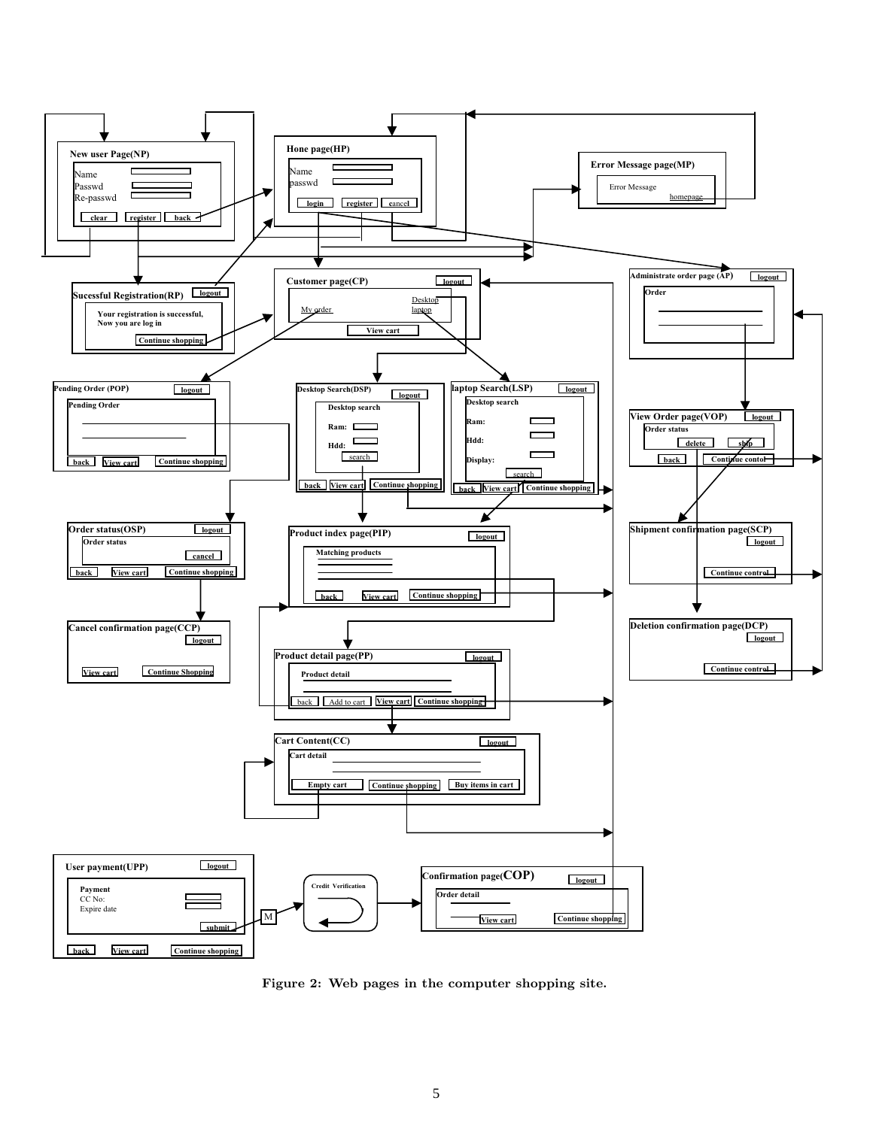

Figure 2: Web pages in the computer shopping site.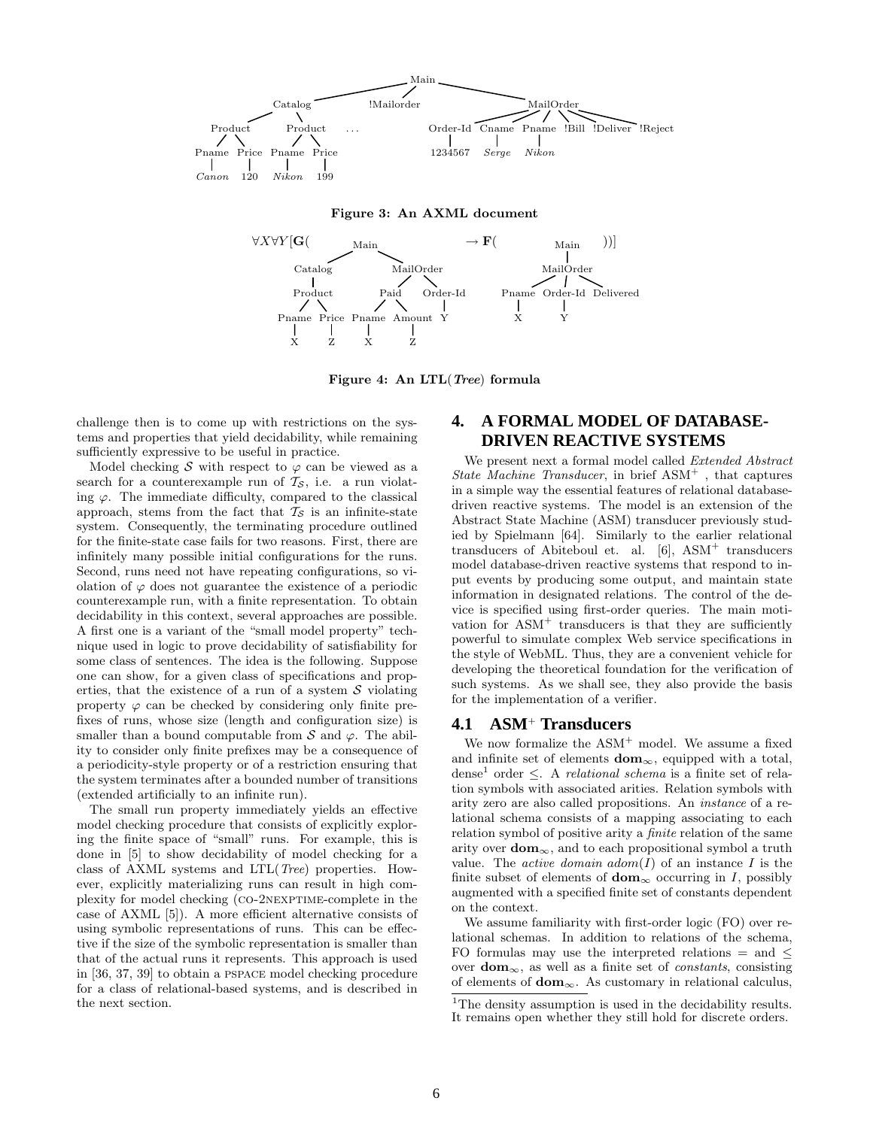

#### Figure 3: An AXML document



Figure 4: An LTL(Tree) formula

challenge then is to come up with restrictions on the systems and properties that yield decidability, while remaining sufficiently expressive to be useful in practice.

Model checking S with respect to  $\varphi$  can be viewed as a search for a counterexample run of  $\mathcal{T}_{\mathcal{S}}$ , i.e. a run violating  $\varphi$ . The immediate difficulty, compared to the classical approach, stems from the fact that  $T<sub>S</sub>$  is an infinite-state system. Consequently, the terminating procedure outlined for the finite-state case fails for two reasons. First, there are infinitely many possible initial configurations for the runs. Second, runs need not have repeating configurations, so violation of  $\varphi$  does not guarantee the existence of a periodic counterexample run, with a finite representation. To obtain decidability in this context, several approaches are possible. A first one is a variant of the "small model property" technique used in logic to prove decidability of satisfiability for some class of sentences. The idea is the following. Suppose one can show, for a given class of specifications and properties, that the existence of a run of a system  $S$  violating property  $\varphi$  can be checked by considering only finite prefixes of runs, whose size (length and configuration size) is smaller than a bound computable from  $S$  and  $\varphi$ . The ability to consider only finite prefixes may be a consequence of a periodicity-style property or of a restriction ensuring that the system terminates after a bounded number of transitions (extended artificially to an infinite run).

The small run property immediately yields an effective model checking procedure that consists of explicitly exploring the finite space of "small" runs. For example, this is done in [5] to show decidability of model checking for a class of AXML systems and LTL(*Tree*) properties. However, explicitly materializing runs can result in high complexity for model checking (co-2nexptime-complete in the case of AXML [5]). A more efficient alternative consists of using symbolic representations of runs. This can be effective if the size of the symbolic representation is smaller than that of the actual runs it represents. This approach is used in [36, 37, 39] to obtain a pspace model checking procedure for a class of relational-based systems, and is described in the next section.

# **4. A FORMAL MODEL OF DATABASE-DRIVEN REACTIVE SYSTEMS**

We present next a formal model called *Extended Abstract State Machine Transducer*, in brief ASM<sup>+</sup> , that captures in a simple way the essential features of relational databasedriven reactive systems. The model is an extension of the Abstract State Machine (ASM) transducer previously studied by Spielmann [64]. Similarly to the earlier relational transducers of Abiteboul et. al. [6], ASM<sup>+</sup> transducers model database-driven reactive systems that respond to input events by producing some output, and maintain state information in designated relations. The control of the device is specified using first-order queries. The main motivation for  $\text{ASM}^+$  transducers is that they are sufficiently powerful to simulate complex Web service specifications in the style of WebML. Thus, they are a convenient vehicle for developing the theoretical foundation for the verification of such systems. As we shall see, they also provide the basis for the implementation of a verifier.

#### **4.1 ASM**<sup>+</sup> **Transducers**

We now formalize the  $ASM^+$  model. We assume a fixed and infinite set of elements  $dom_{\infty}$ , equipped with a total, dense<sup>1</sup> order ≤. A *relational schema* is a finite set of relation symbols with associated arities. Relation symbols with arity zero are also called propositions. An *instance* of a relational schema consists of a mapping associating to each relation symbol of positive arity a *finite* relation of the same arity over  $dom_{\infty}$ , and to each propositional symbol a truth value. The *active domain*  $adom(I)$  of an instance I is the finite subset of elements of  $\text{dom}_{\infty}$  occurring in I, possibly augmented with a specified finite set of constants dependent on the context.

We assume familiarity with first-order logic (FO) over relational schemas. In addition to relations of the schema, FO formulas may use the interpreted relations  $=$  and  $\leq$ over  $\text{dom}_{\infty}$ , as well as a finite set of *constants*, consisting of elements of  $dom_{\infty}$ . As customary in relational calculus,

<sup>&</sup>lt;sup>1</sup>The density assumption is used in the decidability results. It remains open whether they still hold for discrete orders.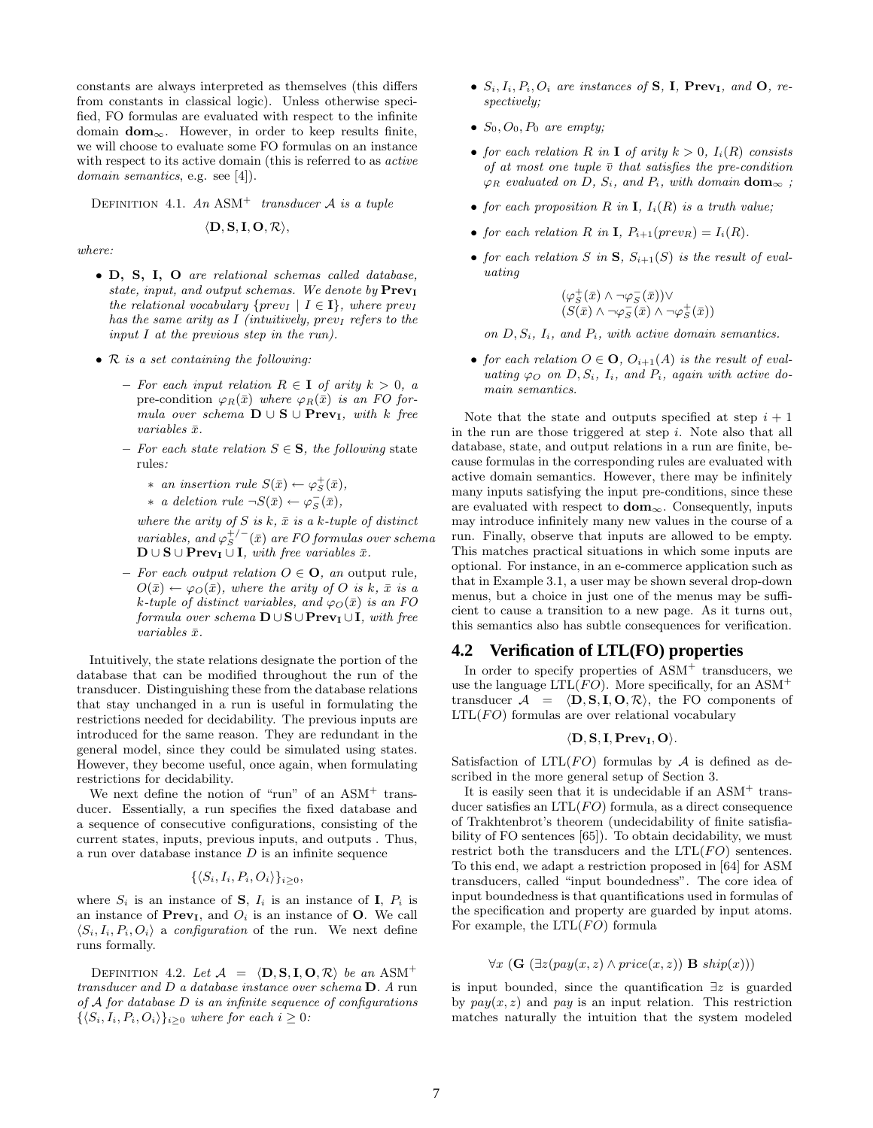constants are always interpreted as themselves (this differs from constants in classical logic). Unless otherwise specified, FO formulas are evaluated with respect to the infinite domain  $dom_{\infty}$ . However, in order to keep results finite, we will choose to evaluate some FO formulas on an instance with respect to its active domain (this is referred to as *active domain semantics*, e.g. see [4]).

Definition 4.1. *An* ASM<sup>+</sup> *transducer* A *is a tuple*

$$
\langle \mathbf{D}, \mathbf{S}, \mathbf{I}, \mathbf{O}, \mathcal{R} \rangle,
$$

*where:*

- D, S, I, O *are relational schemas called database, state, input, and output schemas. We denote by*  $Prev<sub>I</sub>$ *the relational vocabulary* { $prev_I$  |  $I \in \mathbf{I}$ }*, where previ has the same arity as* I *(intuitively, prev<sub>I</sub> refers to the input* I *at the previous step in the run).*
- R *is a set containing the following:*
	- $-$  *For each input relation*  $R \in I$  *of arity*  $k > 0$ , a pre-condition  $\varphi_R(\bar{x})$  *where*  $\varphi_R(\bar{x})$  *is an FO formula over schema*  $$  $variables \bar{x}$ .
	- *For each state relation* S ∈ S*, the following* state rules*:*
		- \* *an insertion rule*  $S(\bar{x}) \leftarrow \varphi_S^+(\bar{x})$ *,*

\* a deletion rule 
$$
\neg S(\bar{x}) \leftarrow \varphi_S^-(\bar{x}),
$$

*where the arity of*  $S$  *is*  $k$ *,*  $\bar{x}$  *is a*  $k$ *-tuple of distinct*  $variables, and \varphi_S^{+/-}(\bar{x})$  *are FO formulas over schema*  $\mathbf{D} \cup \mathbf{S} \cup \mathbf{Prev}_{\mathbf{I}} \cup \mathbf{I}$ *, with free variables*  $\bar{x}$ *.* 

 $-$  *For each output relation*  $O \in \mathbf{O}$ *, an* output rule*,*  $O(\bar{x}) \leftarrow \varphi_O(\bar{x})$ *, where the arity of* O *is* k,  $\bar{x}$  *is a*  $k$ -tuple of distinct variables, and  $\varphi_O(\bar{x})$  *is an FO formula over schema*  $\mathbf{D} \cup \mathbf{S} \cup \mathbf{PrevI} \cup \mathbf{I}$ *, with free*  $variables \bar{x}$ .

Intuitively, the state relations designate the portion of the database that can be modified throughout the run of the transducer. Distinguishing these from the database relations that stay unchanged in a run is useful in formulating the restrictions needed for decidability. The previous inputs are introduced for the same reason. They are redundant in the general model, since they could be simulated using states. However, they become useful, once again, when formulating restrictions for decidability.

We next define the notion of "run" of an  $ASM<sup>+</sup>$  transducer. Essentially, a run specifies the fixed database and a sequence of consecutive configurations, consisting of the current states, inputs, previous inputs, and outputs . Thus, a run over database instance  $D$  is an infinite sequence

$$
\{\langle S_i, I_i, P_i, O_i \rangle\}_{i \geq 0},
$$

where  $S_i$  is an instance of **S**,  $I_i$  is an instance of **I**,  $P_i$  is an instance of  $Prev<sub>I</sub>$ , and  $O<sub>i</sub>$  is an instance of O. We call  $\langle S_i, I_i, P_i, O_i \rangle$  a *configuration* of the run. We next define runs formally.

DEFINITION 4.2. Let  $\mathcal{A} = \langle \mathbf{D}, \mathbf{S}, \mathbf{I}, \mathbf{O}, \mathcal{R} \rangle$  *be an* ASM<sup>+</sup> *transducer and* D *a database instance over schema* D*. A* run *of* A *for database* D *is an infinite sequence of configurations*  $\{\langle S_i, I_i, P_i, O_i \rangle\}_{i>0}$  *where for each*  $i \geq 0$ *:* 

- $S_i, I_i, P_i, O_i$  are instances of **S**, **I**, **Prev<sub>I</sub>**, and **O**, re*spectively;*
- $S_0$ ,  $O_0$ ,  $P_0$  *are empty;*
- *for each relation* R *in* I *of arity*  $k > 0$ ,  $I_i(R)$  *consists of at most one tuple*  $\bar{v}$  *that satisfies the pre-condition*  $\varphi_R$  *evaluated on D, S<sub>i</sub>, and P<sub>i</sub>, with domain* **dom**<sub> $\infty$ </sub>;
- *for each proposition*  $R$  *in*  $I$ *,*  $I_i(R)$  *is a truth value;*
- *for each relation* R *in* **I**,  $P_{i+1}(prev_R) = I_i(R)$ *.*
- for each relation S in S,  $S_{i+1}(S)$  is the result of eval*uating*

$$
\begin{array}{c}(\varphi_S^+(\bar x)\wedge\neg\varphi_S^-(\bar x))\vee\\ (S(\bar x)\wedge\neg\varphi_S^-(\bar x)\wedge\neg\varphi_S^+(\bar x))\end{array}
$$

*on* D, Si*,* Ii*, and* Pi*, with active domain semantics.*

• *for each relation*  $O \in \mathbf{O}$ ,  $O_{i+1}(A)$  *is the result of evaluating*  $\varphi$  *o on D*, *S<sub>i</sub>*, *I<sub>i</sub>*, *and P<sub>i</sub>*, *again with active domain semantics.*

Note that the state and outputs specified at step  $i + 1$ in the run are those triggered at step  $i$ . Note also that all database, state, and output relations in a run are finite, because formulas in the corresponding rules are evaluated with active domain semantics. However, there may be infinitely many inputs satisfying the input pre-conditions, since these are evaluated with respect to  $dom_{\infty}$ . Consequently, inputs may introduce infinitely many new values in the course of a run. Finally, observe that inputs are allowed to be empty. This matches practical situations in which some inputs are optional. For instance, in an e-commerce application such as that in Example 3.1, a user may be shown several drop-down menus, but a choice in just one of the menus may be sufficient to cause a transition to a new page. As it turns out, this semantics also has subtle consequences for verification.

# **4.2 Verification of LTL(FO) properties**

In order to specify properties of  $\text{ASM}^+$  transducers, we use the language  $LTL(FO)$ . More specifically, for an  $ASM^+$ transducer  $\mathcal{A} = \langle \mathbf{D}, \mathbf{S}, \mathbf{I}, \mathbf{O}, \mathcal{R} \rangle$ , the FO components of  $LTL(FO)$  formulas are over relational vocabulary

#### $\langle D, S, I, Prev_I, O \rangle$ .

Satisfaction of  $LTL(FO)$  formulas by A is defined as described in the more general setup of Section 3.

It is easily seen that it is undecidable if an  $ASM<sup>+</sup>$  transducer satisfies an  $LTL(FO)$  formula, as a direct consequence of Trakhtenbrot's theorem (undecidability of finite satisfiability of FO sentences [65]). To obtain decidability, we must restrict both the transducers and the  $LTL(FO)$  sentences. To this end, we adapt a restriction proposed in [64] for ASM transducers, called "input boundedness". The core idea of input boundedness is that quantifications used in formulas of the specification and property are guarded by input atoms. For example, the  $LTL(FO)$  formula

$$
\forall x \ (\mathbf{G} \ (\exists z (pay(x, z) \land price(x, z)) \ \mathbf{B} \ \textit{ship}(x)))
$$

is input bounded, since the quantification ∃z is guarded by  $pay(x, z)$  and *pay* is an input relation. This restriction matches naturally the intuition that the system modeled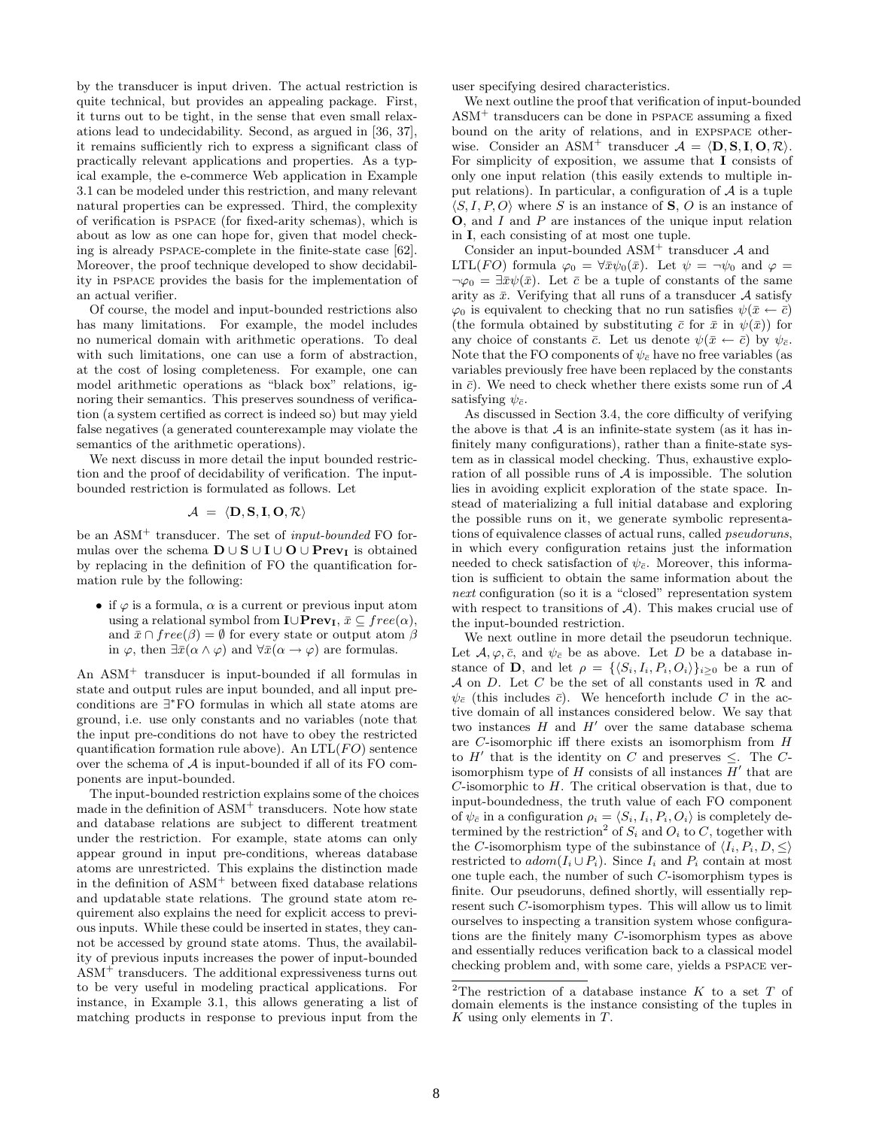by the transducer is input driven. The actual restriction is quite technical, but provides an appealing package. First, it turns out to be tight, in the sense that even small relaxations lead to undecidability. Second, as argued in [36, 37], it remains sufficiently rich to express a significant class of practically relevant applications and properties. As a typical example, the e-commerce Web application in Example 3.1 can be modeled under this restriction, and many relevant natural properties can be expressed. Third, the complexity of verification is pspace (for fixed-arity schemas), which is about as low as one can hope for, given that model checking is already pspace-complete in the finite-state case [62]. Moreover, the proof technique developed to show decidability in pspace provides the basis for the implementation of an actual verifier.

Of course, the model and input-bounded restrictions also has many limitations. For example, the model includes no numerical domain with arithmetic operations. To deal with such limitations, one can use a form of abstraction, at the cost of losing completeness. For example, one can model arithmetic operations as "black box" relations, ignoring their semantics. This preserves soundness of verification (a system certified as correct is indeed so) but may yield false negatives (a generated counterexample may violate the semantics of the arithmetic operations).

We next discuss in more detail the input bounded restriction and the proof of decidability of verification. The inputbounded restriction is formulated as follows. Let

$$
\mathcal{A} = \langle \mathbf{D}, \mathbf{S}, \mathbf{I}, \mathbf{O}, \mathcal{R} \rangle
$$

be an ASM<sup>+</sup> transducer. The set of *input-bounded* FO formulas over the schema  $\mathbf{D} \cup \mathbf{S} \cup \mathbf{I} \cup \mathbf{O} \cup \mathbf{Prev}_{\mathbf{I}}$  is obtained by replacing in the definition of FO the quantification formation rule by the following:

• if  $\varphi$  is a formula,  $\alpha$  is a current or previous input atom using a relational symbol from  $\mathbf{I} \cup \mathbf{Prev}_{\mathbf{I}}, \bar{x} \subseteq free(\alpha)$ , and  $\bar{x} \cap free(\beta) = \emptyset$  for every state or output atom  $\beta$ in  $\varphi$ , then  $\exists \bar{x}(\alpha \wedge \varphi)$  and  $\forall \bar{x}(\alpha \rightarrow \varphi)$  are formulas.

An ASM<sup>+</sup> transducer is input-bounded if all formulas in state and output rules are input bounded, and all input preconditions are ∃ <sup>∗</sup>FO formulas in which all state atoms are ground, i.e. use only constants and no variables (note that the input pre-conditions do not have to obey the restricted quantification formation rule above). An  $LTL(FO)$  sentence over the schema of  $A$  is input-bounded if all of its FO components are input-bounded.

The input-bounded restriction explains some of the choices made in the definition of  $\text{ASM}^+$  transducers. Note how state and database relations are subject to different treatment under the restriction. For example, state atoms can only appear ground in input pre-conditions, whereas database atoms are unrestricted. This explains the distinction made in the definition of  $\text{ASM}^+$  between fixed database relations and updatable state relations. The ground state atom requirement also explains the need for explicit access to previous inputs. While these could be inserted in states, they cannot be accessed by ground state atoms. Thus, the availability of previous inputs increases the power of input-bounded ASM<sup>+</sup> transducers. The additional expressiveness turns out to be very useful in modeling practical applications. For instance, in Example 3.1, this allows generating a list of matching products in response to previous input from the user specifying desired characteristics.

We next outline the proof that verification of input-bounded  $\text{ASM}^+$  transducers can be done in PSPACE assuming a fixed bound on the arity of relations, and in expspace otherwise. Consider an ASM<sup>+</sup> transducer  $A = \langle \mathbf{D}, \mathbf{S}, \mathbf{I}, \mathbf{O}, \mathcal{R} \rangle$ . For simplicity of exposition, we assume that I consists of only one input relation (this easily extends to multiple input relations). In particular, a configuration of  $A$  is a tuple  $\langle S, I, P, O \rangle$  where S is an instance of S, O is an instance of O, and I and P are instances of the unique input relation in I, each consisting of at most one tuple.

Consider an input-bounded  $ASM^+$  transducer  $A$  and LTL(FO) formula  $\varphi_0 = \forall \bar{x} \psi_0(\bar{x})$ . Let  $\psi = \neg \psi_0$  and  $\varphi =$  $\neg \varphi_0 = \exists \bar{x} \psi(\bar{x})$ . Let  $\bar{c}$  be a tuple of constants of the same arity as  $\bar{x}$ . Verifying that all runs of a transducer A satisfy  $\varphi_0$  is equivalent to checking that no run satisfies  $\psi(\bar{x} \leftarrow \bar{c})$ (the formula obtained by substituting  $\bar{c}$  for  $\bar{x}$  in  $\psi(\bar{x})$ ) for any choice of constants  $\bar{c}$ . Let us denote  $\psi(\bar{x} \leftarrow \bar{c})$  by  $\psi_{\bar{c}}$ . Note that the FO components of  $\psi_{\bar{c}}$  have no free variables (as variables previously free have been replaced by the constants in  $\bar{c}$ ). We need to check whether there exists some run of  $A$ satisfying  $\psi_{\bar{c}}$ .

As discussed in Section 3.4, the core difficulty of verifying the above is that  $A$  is an infinite-state system (as it has infinitely many configurations), rather than a finite-state system as in classical model checking. Thus, exhaustive exploration of all possible runs of  $A$  is impossible. The solution lies in avoiding explicit exploration of the state space. Instead of materializing a full initial database and exploring the possible runs on it, we generate symbolic representations of equivalence classes of actual runs, called *pseudoruns*, in which every configuration retains just the information needed to check satisfaction of  $\psi_{\bar{c}}$ . Moreover, this information is sufficient to obtain the same information about the *next* configuration (so it is a "closed" representation system with respect to transitions of  $A$ ). This makes crucial use of the input-bounded restriction.

We next outline in more detail the pseudorun technique. Let  $\mathcal{A}, \varphi, \bar{c}$ , and  $\psi_{\bar{c}}$  be as above. Let D be a database instance of **D**, and let  $\rho = \{\langle S_i, I_i, P_i, O_i \rangle\}_{i>0}$  be a run of A on D. Let C be the set of all constants used in  $\mathcal R$  and  $\psi_{\bar{c}}$  (this includes  $\bar{c}$ ). We henceforth include C in the active domain of all instances considered below. We say that two instances  $H$  and  $H'$  over the same database schema are C-isomorphic iff there exists an isomorphism from H to  $H'$  that is the identity on C and preserves  $\leq$ . The Cisomorphism type of  $H$  consists of all instances  $H'$  that are  $C$ -isomorphic to  $H$ . The critical observation is that, due to input-boundedness, the truth value of each FO component of  $\psi_{\bar{c}}$  in a configuration  $\rho_i = \langle S_i, I_i, P_i, O_i \rangle$  is completely determined by the restriction<sup>2</sup> of  $S_i$  and  $O_i$  to C, together with the C-isomorphism type of the subinstance of  $\langle I_i, P_i, D, \leq \rangle$ restricted to  $adom(I_i \cup P_i)$ . Since  $I_i$  and  $P_i$  contain at most one tuple each, the number of such C-isomorphism types is finite. Our pseudoruns, defined shortly, will essentially represent such C-isomorphism types. This will allow us to limit ourselves to inspecting a transition system whose configurations are the finitely many C-isomorphism types as above and essentially reduces verification back to a classical model checking problem and, with some care, yields a pspace ver-

<sup>&</sup>lt;sup>2</sup>The restriction of a database instance K to a set T of domain elements is the instance consisting of the tuples in  $K$  using only elements in  $T$ .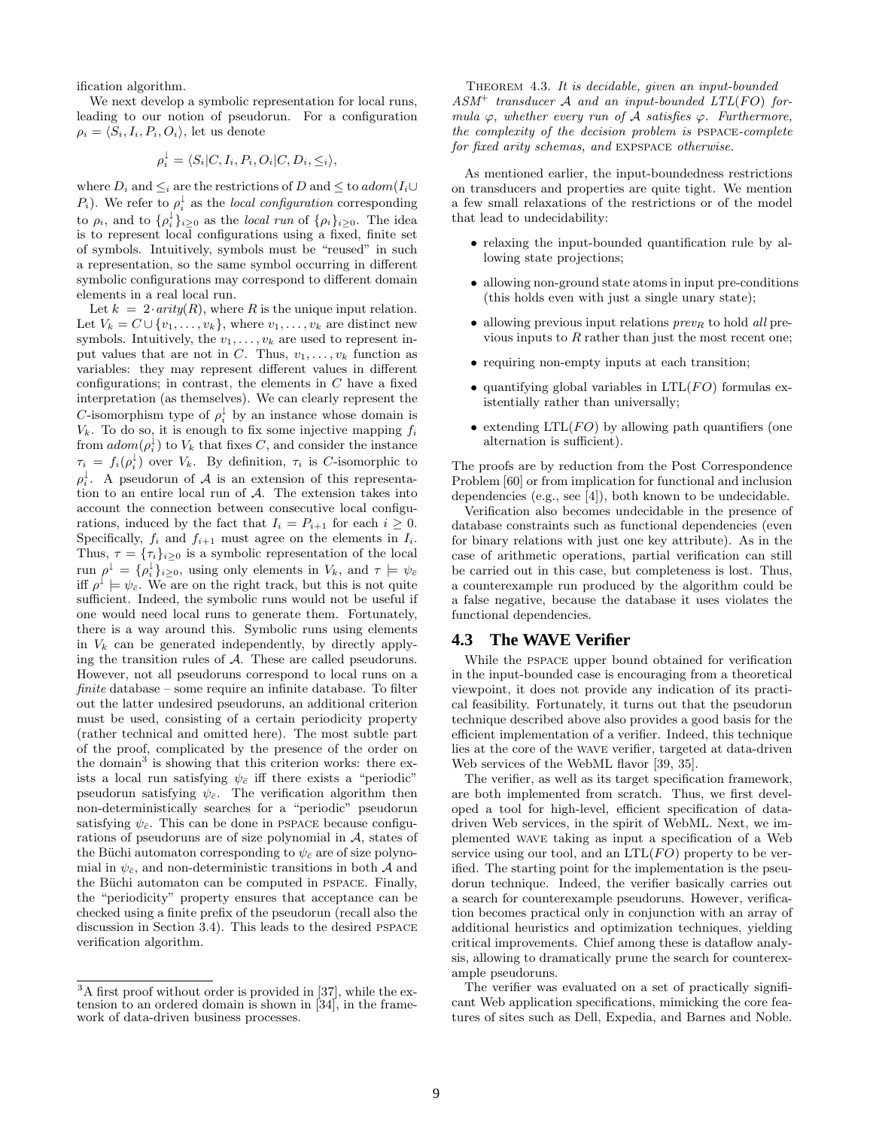ification algorithm.

We next develop a symbolic representation for local runs, leading to our notion of pseudorun. For a configuration  $\rho_i = \langle S_i, I_i, P_i, O_i \rangle$ , let us denote

$$
\rho_i^{\downarrow} = \langle S_i | C, I_i, P_i, O_i | C, D_i, \leq_i \rangle,
$$

where  $D_i$  and  $\leq_i$  are the restrictions of D and  $\leq$  to  $\text{adom}(I_i \cup I_j)$  $P_i$ ). We refer to  $\rho_i^{\downarrow}$  as the *local configuration* corresponding to  $\rho_i$ , and to  $\{\rho_i^{\downarrow}\}_{i\geq 0}$  as the *local run* of  $\{\rho_i\}_{i\geq 0}$ . The idea is to represent local configurations using a fixed, finite set of symbols. Intuitively, symbols must be "reused" in such a representation, so the same symbol occurring in different symbolic configurations may correspond to different domain elements in a real local run.

Let  $k = 2 \cdot arity(R)$ , where R is the unique input relation. Let  $V_k = C \cup \{v_1, \ldots, v_k\}$ , where  $v_1, \ldots, v_k$  are distinct new symbols. Intuitively, the  $v_1, \ldots, v_k$  are used to represent input values that are not in C. Thus,  $v_1, \ldots, v_k$  function as variables: they may represent different values in different configurations; in contrast, the elements in  $C$  have a fixed interpretation (as themselves). We can clearly represent the *C*-isomorphism type of  $\rho_i^{\downarrow}$  by an instance whose domain is  $V_k$ . To do so, it is enough to fix some injective mapping  $f_i$ from  $\alpha dom(\rho_i^{\downarrow})$  to  $V_k$  that fixes C, and consider the instance  $\tau_i = f_i(\rho_i^{\downarrow})$  over  $V_k$ . By definition,  $\tau_i$  is C-isomorphic to  $\rho_i^{\downarrow}$ . A pseudorun of A is an extension of this representation to an entire local run of A. The extension takes into account the connection between consecutive local configurations, induced by the fact that  $I_i = P_{i+1}$  for each  $i \geq 0$ . Specifically,  $f_i$  and  $f_{i+1}$  must agree on the elements in  $I_i$ . Thus,  $\tau = {\tau_i}_{i\geq 0}$  is a symbolic representation of the local run  $\rho^{\downarrow} = {\{\rho_i^{\downarrow}\}_{i \geq 0}}$ , using only elements in  $V_k$ , and  $\tau \models \psi_{\bar{c}}$ iff  $\rho^{\downarrow} \models \psi_{\bar{c}}$ . We are on the right track, but this is not quite sufficient. Indeed, the symbolic runs would not be useful if one would need local runs to generate them. Fortunately, there is a way around this. Symbolic runs using elements in  $V_k$  can be generated independently, by directly applying the transition rules of A. These are called pseudoruns. However, not all pseudoruns correspond to local runs on a *finite* database – some require an infinite database. To filter out the latter undesired pseudoruns, an additional criterion must be used, consisting of a certain periodicity property (rather technical and omitted here). The most subtle part of the proof, complicated by the presence of the order on the domain<sup>3</sup> is showing that this criterion works: there exists a local run satisfying  $\psi_{\bar{c}}$  iff there exists a "periodic" pseudorun satisfying  $\psi_{\bar{c}}$ . The verification algorithm then non-deterministically searches for a "periodic" pseudorun satisfying  $\psi_{\bar{c}}$ . This can be done in PSPACE because configurations of pseudoruns are of size polynomial in A, states of the Büchi automaton corresponding to  $\psi_{\bar{c}}$  are of size polynomial in  $\psi_{\bar{c}}$ , and non-deterministic transitions in both A and the Büchi automaton can be computed in PSPACE. Finally, the "periodicity" property ensures that acceptance can be checked using a finite prefix of the pseudorun (recall also the discussion in Section 3.4). This leads to the desired pspace verification algorithm.

Theorem 4.3. *It is decidable, given an input-bounded ASM*<sup>+</sup> *transducer* A *and an input-bounded LTL*(FO) *formula*  $\varphi$ *, whether every run of*  $\mathcal A$  *satisfies*  $\varphi$ *. Furthermore, the complexity of the decision problem is* pspace*-complete for fixed arity schemas, and* expspace *otherwise.*

As mentioned earlier, the input-boundedness restrictions on transducers and properties are quite tight. We mention a few small relaxations of the restrictions or of the model that lead to undecidability:

- relaxing the input-bounded quantification rule by allowing state projections;
- allowing non-ground state atoms in input pre-conditions (this holds even with just a single unary state);
- allowing previous input relations  $prev<sub>R</sub>$  to hold *all* previous inputs to  $R$  rather than just the most recent one;
- requiring non-empty inputs at each transition;
- quantifying global variables in  $LTL(FO)$  formulas existentially rather than universally;
- extending  $LTL(FO)$  by allowing path quantifiers (one alternation is sufficient).

The proofs are by reduction from the Post Correspondence Problem [60] or from implication for functional and inclusion dependencies (e.g., see [4]), both known to be undecidable.

Verification also becomes undecidable in the presence of database constraints such as functional dependencies (even for binary relations with just one key attribute). As in the case of arithmetic operations, partial verification can still be carried out in this case, but completeness is lost. Thus, a counterexample run produced by the algorithm could be a false negative, because the database it uses violates the functional dependencies.

#### **4.3 The WAVE Verifier**

While the pspace upper bound obtained for verification in the input-bounded case is encouraging from a theoretical viewpoint, it does not provide any indication of its practical feasibility. Fortunately, it turns out that the pseudorun technique described above also provides a good basis for the efficient implementation of a verifier. Indeed, this technique lies at the core of the wave verifier, targeted at data-driven Web services of the WebML flavor [39, 35].

The verifier, as well as its target specification framework, are both implemented from scratch. Thus, we first developed a tool for high-level, efficient specification of datadriven Web services, in the spirit of WebML. Next, we implemented wave taking as input a specification of a Web service using our tool, and an  $LTL(FO)$  property to be verified. The starting point for the implementation is the pseudorun technique. Indeed, the verifier basically carries out a search for counterexample pseudoruns. However, verification becomes practical only in conjunction with an array of additional heuristics and optimization techniques, yielding critical improvements. Chief among these is dataflow analysis, allowing to dramatically prune the search for counterexample pseudoruns.

The verifier was evaluated on a set of practically significant Web application specifications, mimicking the core features of sites such as Dell, Expedia, and Barnes and Noble.

<sup>&</sup>lt;sup>3</sup>A first proof without order is provided in [37], while the extension to an ordered domain is shown in  $[34]$ , in the framework of data-driven business processes.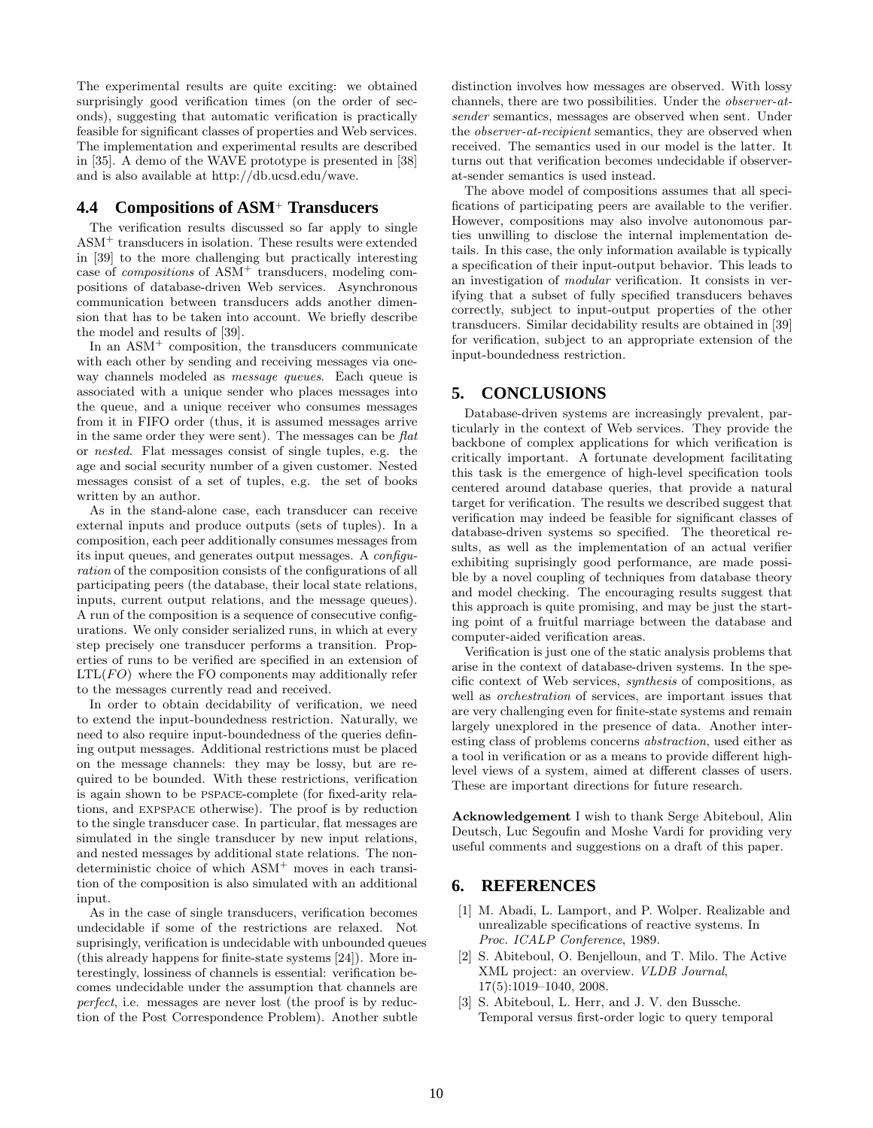The experimental results are quite exciting: we obtained surprisingly good verification times (on the order of seconds), suggesting that automatic verification is practically feasible for significant classes of properties and Web services. The implementation and experimental results are described in [35]. A demo of the WAVE prototype is presented in [38] and is also available at http://db.ucsd.edu/wave.

# **4.4 Compositions of ASM**<sup>+</sup> **Transducers**

The verification results discussed so far apply to single ASM<sup>+</sup> transducers in isolation. These results were extended in [39] to the more challenging but practically interesting case of *compositions* of ASM<sup>+</sup> transducers, modeling compositions of database-driven Web services. Asynchronous communication between transducers adds another dimension that has to be taken into account. We briefly describe the model and results of [39].

In an  $\text{ASM}^+$  composition, the transducers communicate with each other by sending and receiving messages via oneway channels modeled as *message queues*. Each queue is associated with a unique sender who places messages into the queue, and a unique receiver who consumes messages from it in FIFO order (thus, it is assumed messages arrive in the same order they were sent). The messages can be *flat* or *nested*. Flat messages consist of single tuples, e.g. the age and social security number of a given customer. Nested messages consist of a set of tuples, e.g. the set of books written by an author.

As in the stand-alone case, each transducer can receive external inputs and produce outputs (sets of tuples). In a composition, each peer additionally consumes messages from its input queues, and generates output messages. A *configuration* of the composition consists of the configurations of all participating peers (the database, their local state relations, inputs, current output relations, and the message queues). A run of the composition is a sequence of consecutive configurations. We only consider serialized runs, in which at every step precisely one transducer performs a transition. Properties of runs to be verified are specified in an extension of  $LTL(FO)$  where the FO components may additionally refer to the messages currently read and received.

In order to obtain decidability of verification, we need to extend the input-boundedness restriction. Naturally, we need to also require input-boundedness of the queries defining output messages. Additional restrictions must be placed on the message channels: they may be lossy, but are required to be bounded. With these restrictions, verification is again shown to be pspace-complete (for fixed-arity relations, and expspace otherwise). The proof is by reduction to the single transducer case. In particular, flat messages are simulated in the single transducer by new input relations, and nested messages by additional state relations. The nondeterministic choice of which ASM<sup>+</sup> moves in each transition of the composition is also simulated with an additional input.

As in the case of single transducers, verification becomes undecidable if some of the restrictions are relaxed. Not suprisingly, verification is undecidable with unbounded queues (this already happens for finite-state systems [24]). More interestingly, lossiness of channels is essential: verification becomes undecidable under the assumption that channels are *perfect*, i.e. messages are never lost (the proof is by reduction of the Post Correspondence Problem). Another subtle

distinction involves how messages are observed. With lossy channels, there are two possibilities. Under the *observer-atsender* semantics, messages are observed when sent. Under the *observer-at-recipient* semantics, they are observed when received. The semantics used in our model is the latter. It turns out that verification becomes undecidable if observerat-sender semantics is used instead.

The above model of compositions assumes that all specifications of participating peers are available to the verifier. However, compositions may also involve autonomous parties unwilling to disclose the internal implementation details. In this case, the only information available is typically a specification of their input-output behavior. This leads to an investigation of *modular* verification. It consists in verifying that a subset of fully specified transducers behaves correctly, subject to input-output properties of the other transducers. Similar decidability results are obtained in [39] for verification, subject to an appropriate extension of the input-boundedness restriction.

# **5. CONCLUSIONS**

Database-driven systems are increasingly prevalent, particularly in the context of Web services. They provide the backbone of complex applications for which verification is critically important. A fortunate development facilitating this task is the emergence of high-level specification tools centered around database queries, that provide a natural target for verification. The results we described suggest that verification may indeed be feasible for significant classes of database-driven systems so specified. The theoretical results, as well as the implementation of an actual verifier exhibiting suprisingly good performance, are made possible by a novel coupling of techniques from database theory and model checking. The encouraging results suggest that this approach is quite promising, and may be just the starting point of a fruitful marriage between the database and computer-aided verification areas.

Verification is just one of the static analysis problems that arise in the context of database-driven systems. In the specific context of Web services, *synthesis* of compositions, as well as *orchestration* of services, are important issues that are very challenging even for finite-state systems and remain largely unexplored in the presence of data. Another interesting class of problems concerns *abstraction*, used either as a tool in verification or as a means to provide different highlevel views of a system, aimed at different classes of users. These are important directions for future research.

Acknowledgement I wish to thank Serge Abiteboul, Alin Deutsch, Luc Segoufin and Moshe Vardi for providing very useful comments and suggestions on a draft of this paper.

# **6. REFERENCES**

- [1] M. Abadi, L. Lamport, and P. Wolper. Realizable and unrealizable specifications of reactive systems. In *Proc. ICALP Conference*, 1989.
- [2] S. Abiteboul, O. Benjelloun, and T. Milo. The Active XML project: an overview. *VLDB Journal*, 17(5):1019–1040, 2008.
- [3] S. Abiteboul, L. Herr, and J. V. den Bussche. Temporal versus first-order logic to query temporal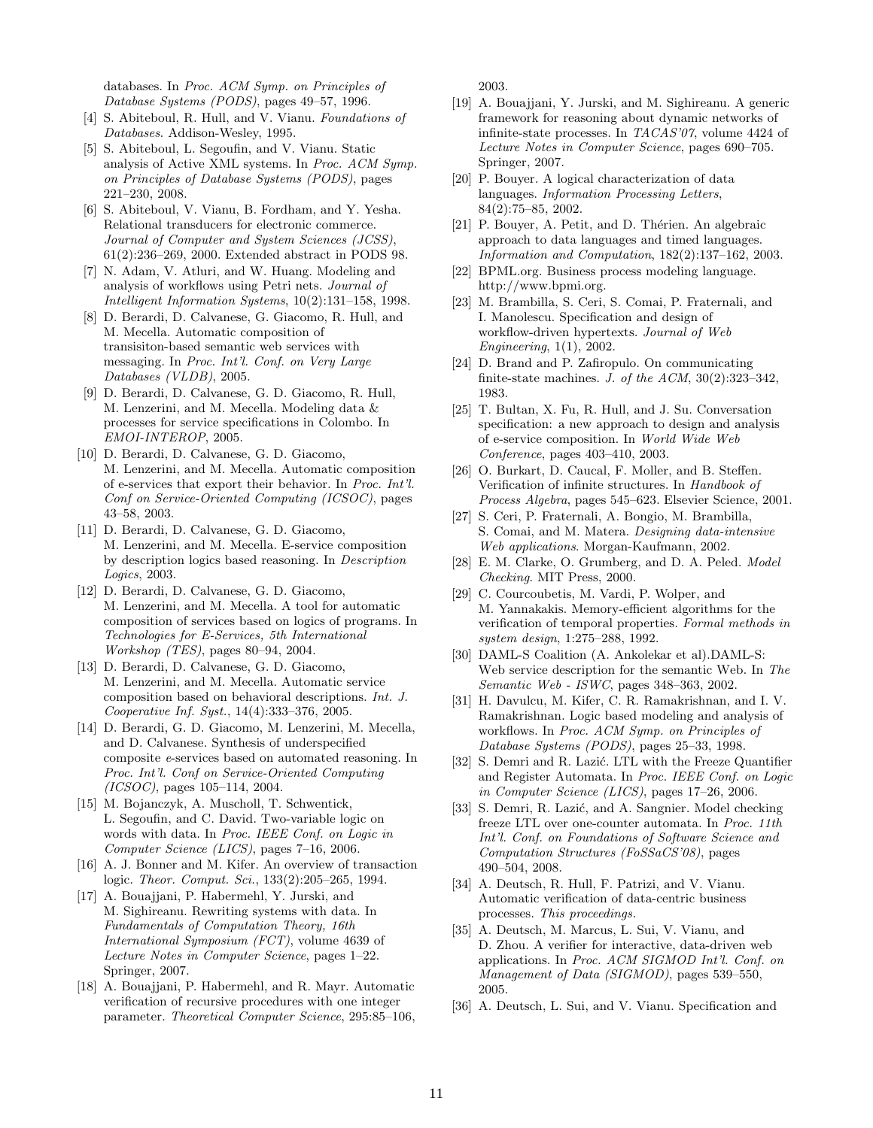databases. In *Proc. ACM Symp. on Principles of Database Systems (PODS)*, pages 49–57, 1996.

- [4] S. Abiteboul, R. Hull, and V. Vianu. *Foundations of Databases*. Addison-Wesley, 1995.
- [5] S. Abiteboul, L. Segoufin, and V. Vianu. Static analysis of Active XML systems. In *Proc. ACM Symp. on Principles of Database Systems (PODS)*, pages 221–230, 2008.
- [6] S. Abiteboul, V. Vianu, B. Fordham, and Y. Yesha. Relational transducers for electronic commerce. *Journal of Computer and System Sciences (JCSS)*, 61(2):236–269, 2000. Extended abstract in PODS 98.
- [7] N. Adam, V. Atluri, and W. Huang. Modeling and analysis of workflows using Petri nets. *Journal of Intelligent Information Systems*, 10(2):131–158, 1998.
- [8] D. Berardi, D. Calvanese, G. Giacomo, R. Hull, and M. Mecella. Automatic composition of transisiton-based semantic web services with messaging. In *Proc. Int'l. Conf. on Very Large Databases (VLDB)*, 2005.
- [9] D. Berardi, D. Calvanese, G. D. Giacomo, R. Hull, M. Lenzerini, and M. Mecella. Modeling data & processes for service specifications in Colombo. In *EMOI-INTEROP*, 2005.
- [10] D. Berardi, D. Calvanese, G. D. Giacomo, M. Lenzerini, and M. Mecella. Automatic composition of e-services that export their behavior. In *Proc. Int'l. Conf on Service-Oriented Computing (ICSOC)*, pages 43–58, 2003.
- [11] D. Berardi, D. Calvanese, G. D. Giacomo, M. Lenzerini, and M. Mecella. E-service composition by description logics based reasoning. In *Description Logics*, 2003.
- [12] D. Berardi, D. Calvanese, G. D. Giacomo, M. Lenzerini, and M. Mecella. A tool for automatic composition of services based on logics of programs. In *Technologies for E-Services, 5th International Workshop (TES)*, pages 80–94, 2004.
- [13] D. Berardi, D. Calvanese, G. D. Giacomo, M. Lenzerini, and M. Mecella. Automatic service composition based on behavioral descriptions. *Int. J. Cooperative Inf. Syst.*, 14(4):333–376, 2005.
- [14] D. Berardi, G. D. Giacomo, M. Lenzerini, M. Mecella, and D. Calvanese. Synthesis of underspecified composite *e*-services based on automated reasoning. In *Proc. Int'l. Conf on Service-Oriented Computing (ICSOC)*, pages 105–114, 2004.
- [15] M. Bojanczyk, A. Muscholl, T. Schwentick, L. Segoufin, and C. David. Two-variable logic on words with data. In *Proc. IEEE Conf. on Logic in Computer Science (LICS)*, pages 7–16, 2006.
- [16] A. J. Bonner and M. Kifer. An overview of transaction logic. *Theor. Comput. Sci.*, 133(2):205–265, 1994.
- [17] A. Bouajjani, P. Habermehl, Y. Jurski, and M. Sighireanu. Rewriting systems with data. In *Fundamentals of Computation Theory, 16th International Symposium (FCT)*, volume 4639 of *Lecture Notes in Computer Science*, pages 1–22. Springer, 2007.
- [18] A. Bouajjani, P. Habermehl, and R. Mayr. Automatic verification of recursive procedures with one integer parameter. *Theoretical Computer Science*, 295:85–106,

2003.

- [19] A. Bouajjani, Y. Jurski, and M. Sighireanu. A generic framework for reasoning about dynamic networks of infinite-state processes. In *TACAS'07*, volume 4424 of *Lecture Notes in Computer Science*, pages 690–705. Springer, 2007.
- [20] P. Bouyer. A logical characterization of data languages. *Information Processing Letters*, 84(2):75–85, 2002.
- [21] P. Bouyer, A. Petit, and D. Thérien. An algebraic approach to data languages and timed languages. *Information and Computation*, 182(2):137–162, 2003.
- [22] BPML.org. Business process modeling language. http://www.bpmi.org.
- [23] M. Brambilla, S. Ceri, S. Comai, P. Fraternali, and I. Manolescu. Specification and design of workflow-driven hypertexts. *Journal of Web Engineering*, 1(1), 2002.
- [24] D. Brand and P. Zafiropulo. On communicating finite-state machines. *J. of the ACM*, 30(2):323–342, 1983.
- [25] T. Bultan, X. Fu, R. Hull, and J. Su. Conversation specification: a new approach to design and analysis of e-service composition. In *World Wide Web Conference*, pages 403–410, 2003.
- [26] O. Burkart, D. Caucal, F. Moller, and B. Steffen. Verification of infinite structures. In *Handbook of Process Algebra*, pages 545–623. Elsevier Science, 2001.
- [27] S. Ceri, P. Fraternali, A. Bongio, M. Brambilla, S. Comai, and M. Matera. *Designing data-intensive Web applications*. Morgan-Kaufmann, 2002.
- [28] E. M. Clarke, O. Grumberg, and D. A. Peled. *Model Checking*. MIT Press, 2000.
- [29] C. Courcoubetis, M. Vardi, P. Wolper, and M. Yannakakis. Memory-efficient algorithms for the verification of temporal properties. *Formal methods in system design*, 1:275–288, 1992.
- [30] DAML-S Coalition (A. Ankolekar et al).DAML-S: Web service description for the semantic Web. In *The Semantic Web - ISWC*, pages 348–363, 2002.
- [31] H. Davulcu, M. Kifer, C. R. Ramakrishnan, and I. V. Ramakrishnan. Logic based modeling and analysis of workflows. In *Proc. ACM Symp. on Principles of Database Systems (PODS)*, pages 25–33, 1998.
- [32] S. Demri and R. Lazić. LTL with the Freeze Quantifier and Register Automata. In *Proc. IEEE Conf. on Logic in Computer Science (LICS)*, pages 17–26, 2006.
- [33] S. Demri, R. Lazić, and A. Sangnier. Model checking freeze LTL over one-counter automata. In *Proc. 11th Int'l. Conf. on Foundations of Software Science and Computation Structures (FoSSaCS'08)*, pages 490–504, 2008.
- [34] A. Deutsch, R. Hull, F. Patrizi, and V. Vianu. Automatic verification of data-centric business processes. *This proceedings.*
- [35] A. Deutsch, M. Marcus, L. Sui, V. Vianu, and D. Zhou. A verifier for interactive, data-driven web applications. In *Proc. ACM SIGMOD Int'l. Conf. on Management of Data (SIGMOD)*, pages 539–550, 2005.
- [36] A. Deutsch, L. Sui, and V. Vianu. Specification and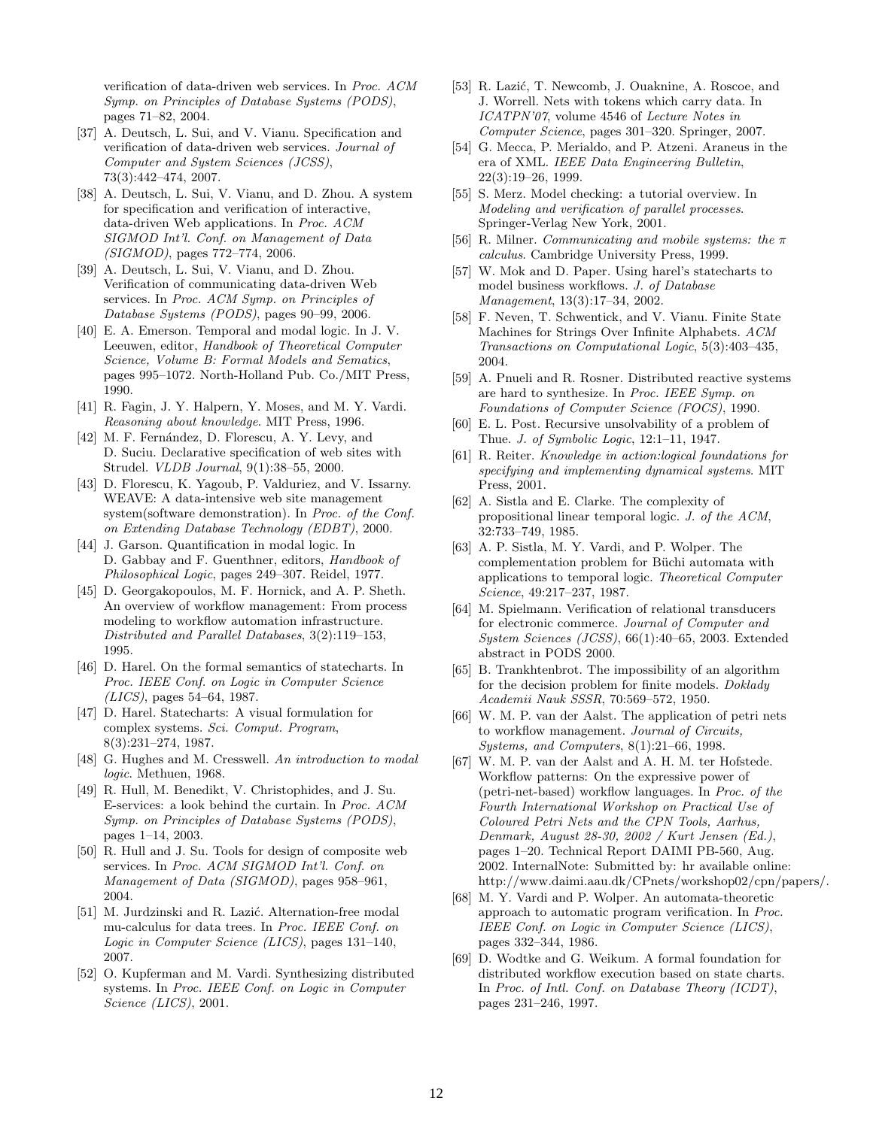verification of data-driven web services. In *Proc. ACM Symp. on Principles of Database Systems (PODS)*, pages 71–82, 2004.

- [37] A. Deutsch, L. Sui, and V. Vianu. Specification and verification of data-driven web services. *Journal of Computer and System Sciences (JCSS)*, 73(3):442–474, 2007.
- [38] A. Deutsch, L. Sui, V. Vianu, and D. Zhou. A system for specification and verification of interactive, data-driven Web applications. In *Proc. ACM SIGMOD Int'l. Conf. on Management of Data (SIGMOD)*, pages 772–774, 2006.
- [39] A. Deutsch, L. Sui, V. Vianu, and D. Zhou. Verification of communicating data-driven Web services. In *Proc. ACM Symp. on Principles of Database Systems (PODS)*, pages 90–99, 2006.
- [40] E. A. Emerson. Temporal and modal logic. In J. V. Leeuwen, editor, *Handbook of Theoretical Computer Science, Volume B: Formal Models and Sematics*, pages 995–1072. North-Holland Pub. Co./MIT Press, 1990.
- [41] R. Fagin, J. Y. Halpern, Y. Moses, and M. Y. Vardi. *Reasoning about knowledge*. MIT Press, 1996.
- [42] M. F. Fernández, D. Florescu, A. Y. Levy, and D. Suciu. Declarative specification of web sites with Strudel. *VLDB Journal*, 9(1):38–55, 2000.
- [43] D. Florescu, K. Yagoub, P. Valduriez, and V. Issarny. WEAVE: A data-intensive web site management system(software demonstration). In *Proc. of the Conf. on Extending Database Technology (EDBT)*, 2000.
- [44] J. Garson. Quantification in modal logic. In D. Gabbay and F. Guenthner, editors, *Handbook of Philosophical Logic*, pages 249–307. Reidel, 1977.
- [45] D. Georgakopoulos, M. F. Hornick, and A. P. Sheth. An overview of workflow management: From process modeling to workflow automation infrastructure. *Distributed and Parallel Databases*, 3(2):119–153, 1995.
- [46] D. Harel. On the formal semantics of statecharts. In *Proc. IEEE Conf. on Logic in Computer Science (LICS)*, pages 54–64, 1987.
- [47] D. Harel. Statecharts: A visual formulation for complex systems. *Sci. Comput. Program*, 8(3):231–274, 1987.
- [48] G. Hughes and M. Cresswell. *An introduction to modal logic*. Methuen, 1968.
- [49] R. Hull, M. Benedikt, V. Christophides, and J. Su. E-services: a look behind the curtain. In *Proc. ACM Symp. on Principles of Database Systems (PODS)*, pages 1–14, 2003.
- [50] R. Hull and J. Su. Tools for design of composite web services. In *Proc. ACM SIGMOD Int'l. Conf. on Management of Data (SIGMOD)*, pages 958–961, 2004.
- [51] M. Jurdzinski and R. Lazić. Alternation-free modal mu-calculus for data trees. In *Proc. IEEE Conf. on Logic in Computer Science (LICS)*, pages 131–140, 2007.
- [52] O. Kupferman and M. Vardi. Synthesizing distributed systems. In *Proc. IEEE Conf. on Logic in Computer Science (LICS)*, 2001.
- [53] R. Lazić, T. Newcomb, J. Ouaknine, A. Roscoe, and J. Worrell. Nets with tokens which carry data. In *ICATPN'07*, volume 4546 of *Lecture Notes in Computer Science*, pages 301–320. Springer, 2007.
- [54] G. Mecca, P. Merialdo, and P. Atzeni. Araneus in the era of XML. *IEEE Data Engineering Bulletin*, 22(3):19–26, 1999.
- [55] S. Merz. Model checking: a tutorial overview. In *Modeling and verification of parallel processes*. Springer-Verlag New York, 2001.
- [56] R. Milner. *Communicating and mobile systems: the* π *calculus*. Cambridge University Press, 1999.
- [57] W. Mok and D. Paper. Using harel's statecharts to model business workflows. *J. of Database Management*, 13(3):17–34, 2002.
- [58] F. Neven, T. Schwentick, and V. Vianu. Finite State Machines for Strings Over Infinite Alphabets. *ACM Transactions on Computational Logic*, 5(3):403–435, 2004.
- [59] A. Pnueli and R. Rosner. Distributed reactive systems are hard to synthesize. In *Proc. IEEE Symp. on Foundations of Computer Science (FOCS)*, 1990.
- [60] E. L. Post. Recursive unsolvability of a problem of Thue. *J. of Symbolic Logic*, 12:1–11, 1947.
- [61] R. Reiter. *Knowledge in action:logical foundations for specifying and implementing dynamical systems*. MIT Press, 2001.
- [62] A. Sistla and E. Clarke. The complexity of propositional linear temporal logic. *J. of the ACM*, 32:733–749, 1985.
- [63] A. P. Sistla, M. Y. Vardi, and P. Wolper. The complementation problem for Büchi automata with applications to temporal logic. *Theoretical Computer Science*, 49:217–237, 1987.
- [64] M. Spielmann. Verification of relational transducers for electronic commerce. *Journal of Computer and System Sciences (JCSS)*, 66(1):40–65, 2003. Extended abstract in PODS 2000.
- [65] B. Trankhtenbrot. The impossibility of an algorithm for the decision problem for finite models. *Doklady Academii Nauk SSSR*, 70:569–572, 1950.
- [66] W. M. P. van der Aalst. The application of petri nets to workflow management. *Journal of Circuits, Systems, and Computers*, 8(1):21–66, 1998.
- [67] W. M. P. van der Aalst and A. H. M. ter Hofstede. Workflow patterns: On the expressive power of (petri-net-based) workflow languages. In *Proc. of the Fourth International Workshop on Practical Use of Coloured Petri Nets and the CPN Tools, Aarhus, Denmark, August 28-30, 2002 / Kurt Jensen (Ed.)*, pages 1–20. Technical Report DAIMI PB-560, Aug. 2002. InternalNote: Submitted by: hr available online: http://www.daimi.aau.dk/CPnets/workshop02/cpn/papers/.
- [68] M. Y. Vardi and P. Wolper. An automata-theoretic approach to automatic program verification. In *Proc. IEEE Conf. on Logic in Computer Science (LICS)*, pages 332–344, 1986.
- [69] D. Wodtke and G. Weikum. A formal foundation for distributed workflow execution based on state charts. In *Proc. of Intl. Conf. on Database Theory (ICDT)*, pages 231–246, 1997.